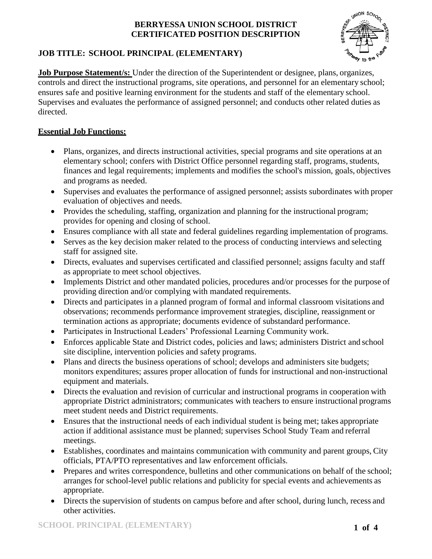

# **JOB TITLE: SCHOOL PRINCIPAL (ELEMENTARY)**

**Job Purpose Statement/s:** Under the direction of the Superintendent or designee, plans, organizes, controls and direct the instructional programs, site operations, and personnel for an elementary school; ensures safe and positive learning environment for the students and staff of the elementary school. Supervises and evaluates the performance of assigned personnel; and conducts other related duties as directed.

# **Essential Job Functions:**

- Plans, organizes, and directs instructional activities, special programs and site operations at an elementary school; confers with District Office personnel regarding staff, programs, students, finances and legal requirements; implements and modifies the school's mission, goals, objectives and programs as needed.
- Supervises and evaluates the performance of assigned personnel; assists subordinates with proper evaluation of objectives and needs.
- Provides the scheduling, staffing, organization and planning for the instructional program; provides for opening and closing of school.
- Ensures compliance with all state and federal guidelines regarding implementation of programs.
- Serves as the key decision maker related to the process of conducting interviews and selecting staff for assigned site.
- Directs, evaluates and supervises certificated and classified personnel; assigns faculty and staff as appropriate to meet school objectives.
- Implements District and other mandated policies, procedures and/or processes for the purpose of providing direction and/or complying with mandated requirements.
- Directs and participates in a planned program of formal and informal classroom visitations and observations; recommends performance improvement strategies, discipline, reassignment or termination actions as appropriate; documents evidence of substandard performance.
- Participates in Instructional Leaders' Professional Learning Community work.
- Enforces applicable State and District codes, policies and laws; administers District and school site discipline, intervention policies and safety programs.
- Plans and directs the business operations of school; develops and administers site budgets; monitors expenditures; assures proper allocation of funds for instructional and non-instructional equipment and materials.
- Directs the evaluation and revision of curricular and instructional programs in cooperation with appropriate District administrators; communicates with teachers to ensure instructional programs meet student needs and District requirements.
- Ensures that the instructional needs of each individual student is being met; takes appropriate action if additional assistance must be planned; supervises School Study Team and referral meetings.
- Establishes, coordinates and maintains communication with community and parent groups, City officials, PTA/PTO representatives and law enforcement officials.
- Prepares and writes correspondence, bulletins and other communications on behalf of the school; arranges for school-level public relations and publicity for special events and achievements as appropriate.
- Directs the supervision of students on campus before and after school, during lunch, recess and other activities.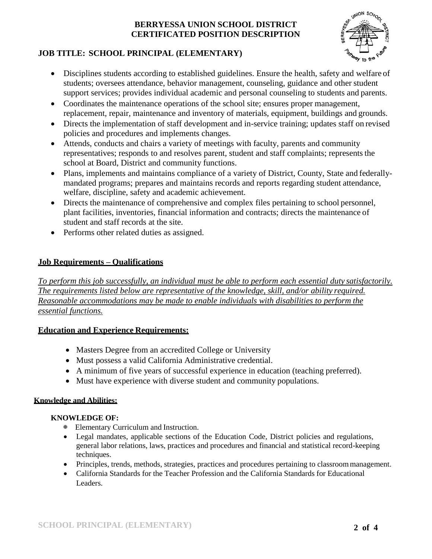

# **JOB TITLE: SCHOOL PRINCIPAL (ELEMENTARY)**

- Disciplines students according to established guidelines. Ensure the health, safety and welfare of students; oversees attendance, behavior management, counseling, guidance and other student support services; provides individual academic and personal counseling to students and parents.
- Coordinates the maintenance operations of the school site; ensures proper management, replacement, repair, maintenance and inventory of materials, equipment, buildings and grounds.
- Directs the implementation of staff development and in-service training; updates staff on revised policies and procedures and implements changes.
- Attends, conducts and chairs a variety of meetings with faculty, parents and community representatives; responds to and resolves parent, student and staff complaints; represents the school at Board, District and community functions.
- Plans, implements and maintains compliance of a variety of District, County, State and federallymandated programs; prepares and maintains records and reports regarding student attendance, welfare, discipline, safety and academic achievement.
- Directs the maintenance of comprehensive and complex files pertaining to school personnel, plant facilities, inventories, financial information and contracts; directs the maintenance of student and staff records at the site.
- Performs other related duties as assigned.

# **Job Requirements – Qualifications**

*To perform this job successfully, an individual must be able to perform each essential duty satisfactorily. The requirements listed below are representative of the knowledge, skill, and/or ability required. Reasonable accommodations may be made to enable individuals with disabilities to perform the essential functions.*

# **Education and Experience Requirements:**

- Masters Degree from an accredited College or University
- Must possess a valid California Administrative credential.
- A minimum of five years of successful experience in education (teaching preferred).
- Must have experience with diverse student and community populations.

# **Knowledge and Abilities:**

# **KNOWLEDGE OF:**

- Elementary Curriculum and Instruction.
- Legal mandates, applicable sections of the Education Code, District policies and regulations, general labor relations, laws, practices and procedures and financial and statistical record-keeping techniques.
- Principles, trends, methods, strategies, practices and procedures pertaining to classroommanagement.
- California Standards for the Teacher Profession and the California Standards for Educational Leaders.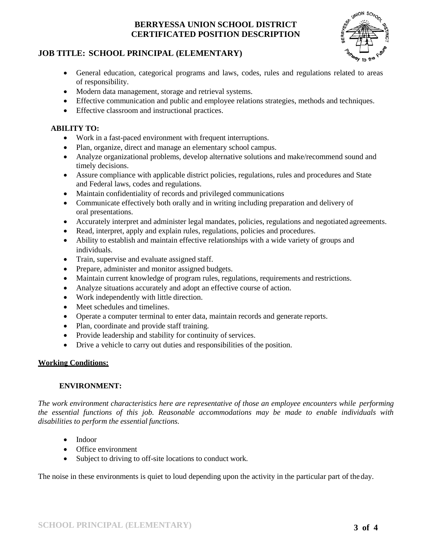

# **JOB TITLE: SCHOOL PRINCIPAL (ELEMENTARY)**

- General education, categorical programs and laws, codes, rules and regulations related to areas of responsibility.
- Modern data management, storage and retrieval systems.
- Effective communication and public and employee relations strategies, methods and techniques.
- Effective classroom and instructional practices.

# **ABILITY TO:**

- Work in a fast-paced environment with frequent interruptions.
- Plan, organize, direct and manage an elementary school campus.
- Analyze organizational problems, develop alternative solutions and make/recommend sound and timely decisions.
- Assure compliance with applicable district policies, regulations, rules and procedures and State and Federal laws, codes and regulations.
- Maintain confidentiality of records and privileged communications
- Communicate effectively both orally and in writing including preparation and delivery of oral presentations.
- Accurately interpret and administer legal mandates, policies, regulations and negotiated agreements.
- Read, interpret, apply and explain rules, regulations, policies and procedures.
- Ability to establish and maintain effective relationships with a wide variety of groups and individuals.
- Train, supervise and evaluate assigned staff.
- Prepare, administer and monitor assigned budgets.
- Maintain current knowledge of program rules, regulations, requirements and restrictions.
- Analyze situations accurately and adopt an effective course of action.
- Work independently with little direction.
- Meet schedules and timelines.
- Operate a computer terminal to enter data, maintain records and generate reports.
- Plan, coordinate and provide staff training.
- Provide leadership and stability for continuity of services.
- Drive a vehicle to carry out duties and responsibilities of the position.

#### **Working Conditions:**

#### **ENVIRONMENT:**

*The work environment characteristics here are representative of those an employee encounters while performing the essential functions of this job. Reasonable accommodations may be made to enable individuals with disabilities to perform the essential functions.*

- Indoor
- Office environment
- Subject to driving to off-site locations to conduct work.

The noise in these environments is quiet to loud depending upon the activity in the particular part of theday.